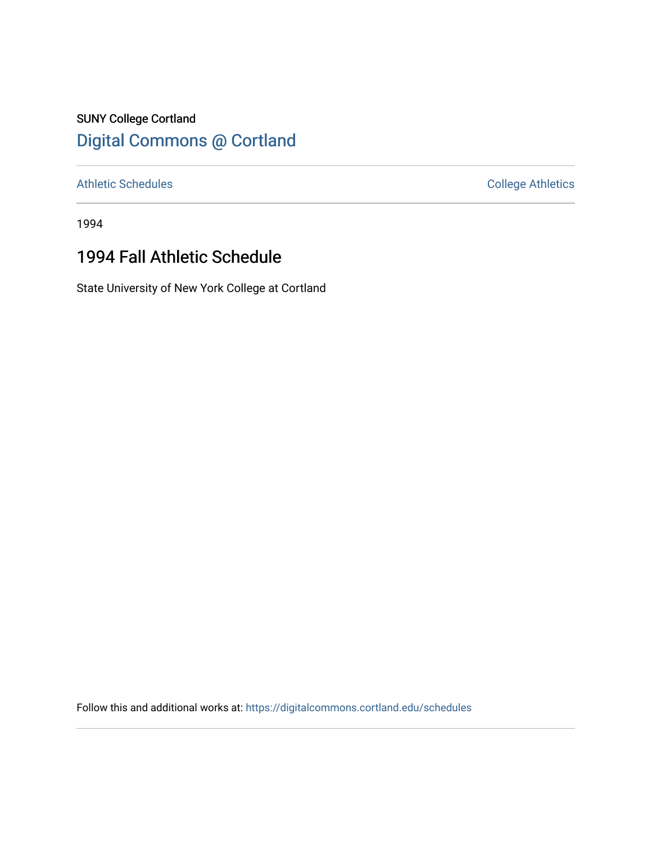### SUNY College Cortland [Digital Commons @ Cortland](https://digitalcommons.cortland.edu/)

[Athletic Schedules](https://digitalcommons.cortland.edu/schedules) **College Athletics** College Athletics

1994

# 1994 Fall Athletic Schedule

State University of New York College at Cortland

Follow this and additional works at: [https://digitalcommons.cortland.edu/schedules](https://digitalcommons.cortland.edu/schedules?utm_source=digitalcommons.cortland.edu%2Fschedules%2F59&utm_medium=PDF&utm_campaign=PDFCoverPages)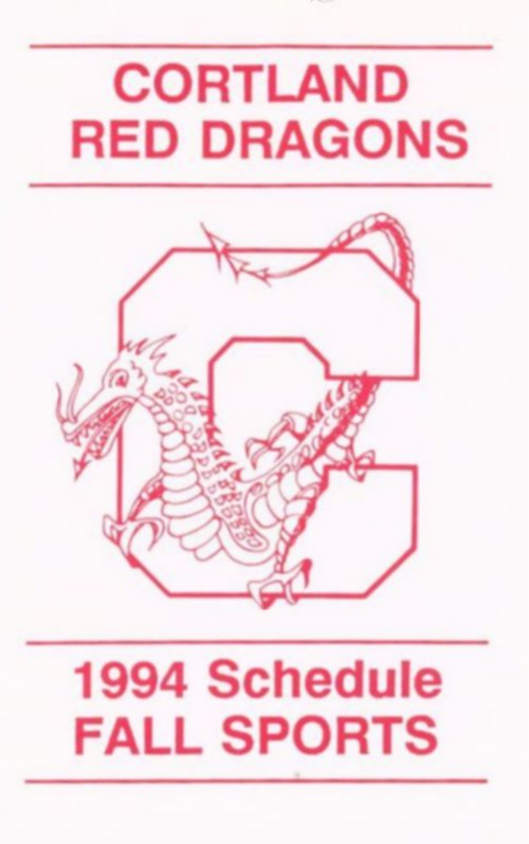# CORTLAND RED DRAGONS



### 1994 Schedule FALL SPORTS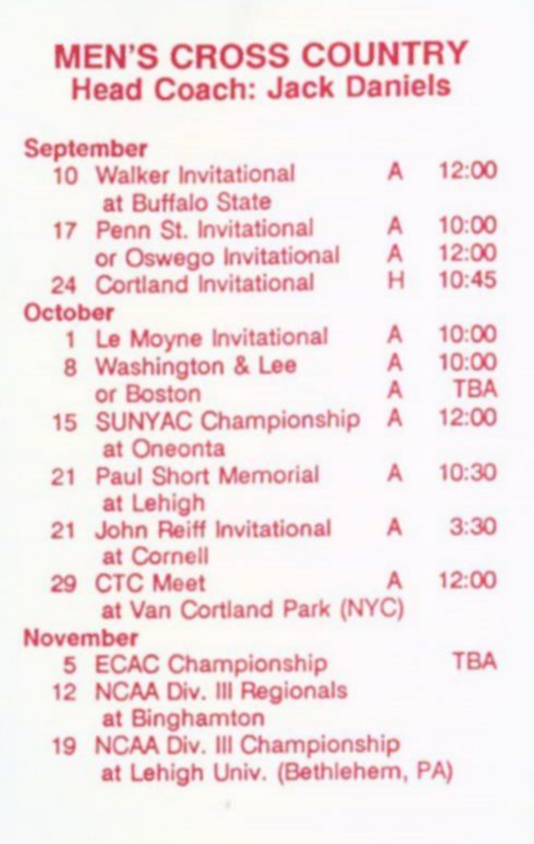### **MEN'S CROSS COUNTRY Head Coach: Jack Daniels**

| <b>September</b>                |   |            |
|---------------------------------|---|------------|
| 10 Walker Invitational          | А | 12:00      |
| at Buffalo State                |   |            |
| 17 Penn St. Invitational        | А | 10:00      |
| or Oswego Invitational          | А | 12:00      |
| 24 Cortland Invitational        | н | 10:45      |
| October                         |   |            |
| 1 Le Moyne Invitational         | А | 10:00      |
| 8 Washington & Lee              | А | 10:00      |
| or Boston                       | A | <b>TBA</b> |
| 15 SUNYAC Championship          | А | 12:00      |
| at Oneonta                      |   |            |
| 21 Paul Short Memorial          | А | 10:30      |
| at Lehigh                       |   |            |
| 21 John Reiff Invitational      | А | 3:30       |
| at Cornell                      |   |            |
| 29 CTC Meet                     | А | 12:00      |
| at Van Cortland Park (NYC)      |   |            |
| November                        |   |            |
| 5 ECAC Championship             |   | <b>TBA</b> |
| 12 NCAA Div. III Regionals      |   |            |
| at Binghamton                   |   |            |
| 19 NCAA Div. III Championship   |   |            |
| at Lehigh Univ. (Bethlehem, PA) |   |            |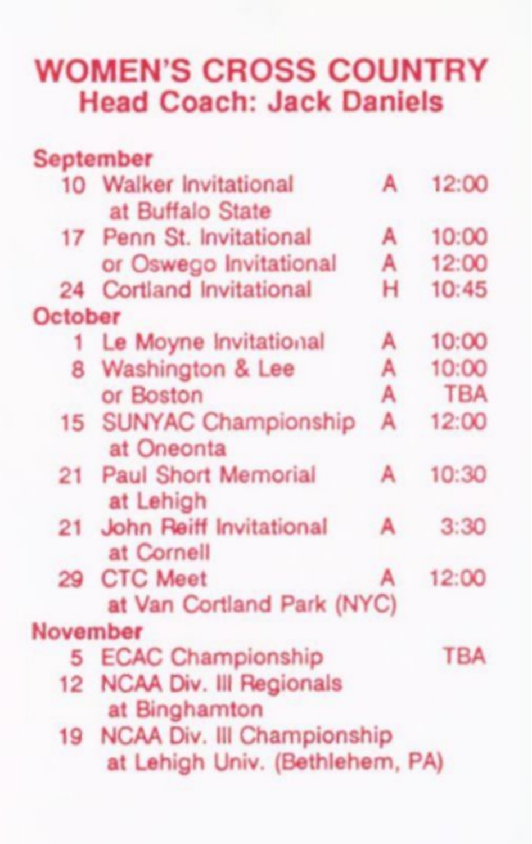#### WOMEN'S CROSS COUNTRY **Head Coach: Jack Daniels**

|                  | September                                 |   |            |
|------------------|-------------------------------------------|---|------------|
|                  | 10 Walker Invitational                    | А | 12:00      |
|                  | at Buffalo State                          |   |            |
|                  | 17 Penn St. Invitational                  | А | 10:00      |
|                  | or Oswego Invitational                    | A | 12:00      |
|                  | 24 Cortland Invitational                  | н | 10:45      |
| October          |                                           |   |            |
| 1.               | Le Moyne Invitational                     | А | 10:00      |
|                  | 8 Washington & Lee                        | A | 10:00      |
|                  | or Boston                                 | A | <b>TBA</b> |
|                  | 15 SUNYAC Championship<br>at Oneonta      | А | 12:00      |
|                  | 21 Paul Short Memorial<br>at Lehigh       | А | 10:30      |
|                  | 21 John Reiff Invitational<br>at Cornell  | А | 3:30       |
|                  | 29 CTC Meet<br>at Van Cortland Park (NYC) | А | 12:00      |
| November         |                                           |   |            |
| 5                | <b>ECAC Championship</b>                  |   | <b>TBA</b> |
| 12 <sup>12</sup> | NCAA Div. Ill Regionals                   |   |            |
|                  | at Binghamton                             |   |            |
|                  | 19 NCAA Div. III Championship             |   |            |
|                  | at Lehigh Univ. (Bethlehem, PA)           |   |            |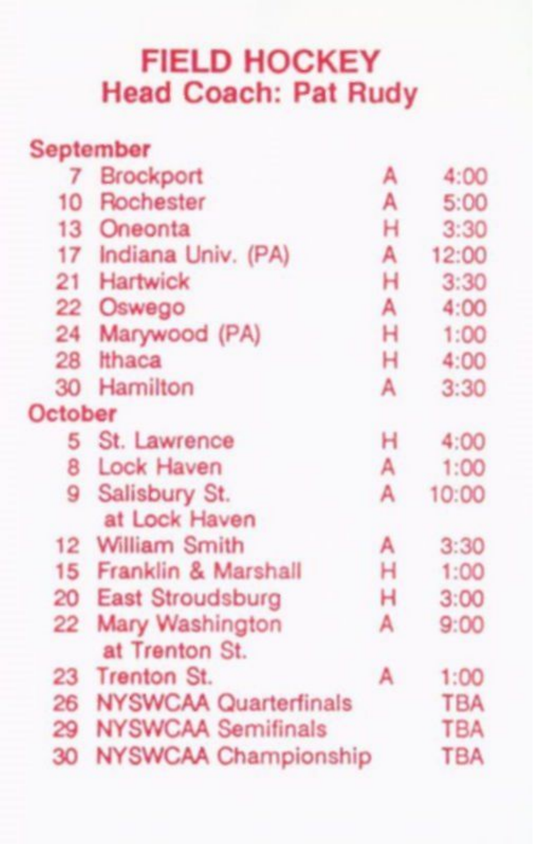#### FIELD HOCKEY Head Coach: Pat Rudy

|                  | September                    |   |            |
|------------------|------------------------------|---|------------|
|                  | 7 Brockport                  | А | 4:00       |
| 10 <sup>10</sup> | Rochester                    | А | 5:00       |
|                  | 13 Oneonta                   | н | 3:30       |
|                  | 17 Indiana Univ. (PA)        | А | 12:00      |
|                  | 21 Hartwick                  | н | 3:30       |
|                  | 22 Oswego                    | А | 4:00       |
| 24               | Marywood (PA)                | н | 1:00       |
|                  | 28 Ithaca                    | н | 4:00       |
|                  | 30 Hamilton                  | Α | 3:30       |
| <b>October</b>   |                              |   |            |
|                  | 5 St. Lawrence               | н | 4:00       |
|                  | 8 Lock Haven                 | А | 1:00       |
|                  | 9 Salisbury St.              | А | 10:00      |
|                  | at Lock Haven                |   |            |
|                  | 12 William Smith             | А | 3:30       |
|                  | 15 Franklin & Marshall       | н | 1:00       |
|                  | 20 East Stroudsburg          | н | 3:00       |
| $22^{\circ}$     | Mary Washington              | А | 9:00       |
|                  | at Trenton St.               |   |            |
|                  | 23 Trenton St.               | А | 1:00       |
| 26               | <b>NYSWCAA Quarterfinals</b> |   | <b>TBA</b> |
| 29               | <b>NYSWCAA Semifinals</b>    |   | <b>TBA</b> |
| 30               | <b>NYSWCAA Championship</b>  |   | <b>TBA</b> |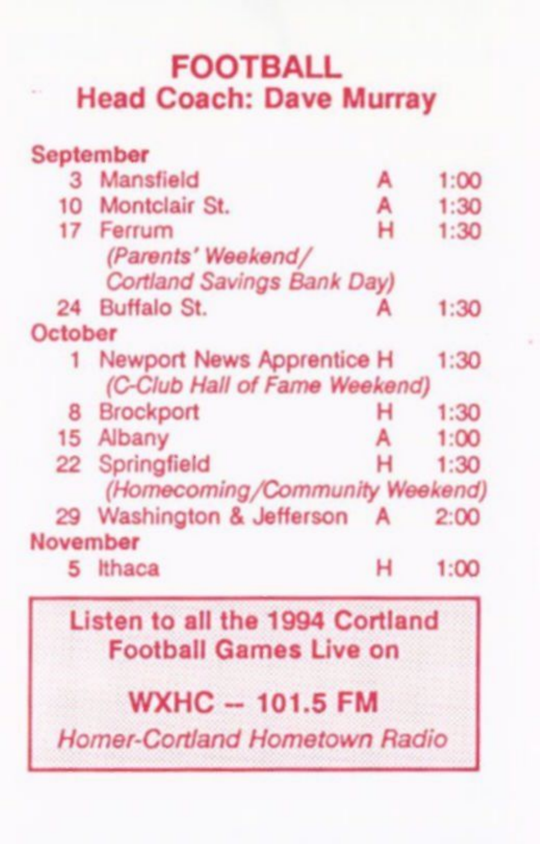#### **FOOTBALL Head Coach: Dave Murray**

|          | September                                                        |   |      |
|----------|------------------------------------------------------------------|---|------|
| 3        | Mansfield                                                        | A | 1:00 |
|          | 10 Montclair St.                                                 | А | 1:30 |
|          | 17 Ferrum                                                        | н | 1:30 |
|          | (Parents' Weekend/                                               |   |      |
|          | <b>Cortland Savings Bank Day)</b>                                |   |      |
|          | 24 Buffalo St.                                                   | А | 1:30 |
| October  |                                                                  |   |      |
|          | 1 Newport News Apprentice H                                      |   | 1:30 |
|          | (C-Club Hall of Fame Weekend)                                    |   |      |
|          | 8 Brockport                                                      | н | 1:30 |
|          | 15 Albany                                                        | A | 1:00 |
|          | 22 Springfield                                                   | н | 1:30 |
|          | (Homecoming/Community Weekend)                                   |   |      |
|          | 29 Washington & Jefferson A 2:00                                 |   |      |
| November |                                                                  |   |      |
|          | 5 Ithaca                                                         | н | 1:00 |
|          | Listen to all the 1994 Cortland<br><b>Football Games Live on</b> |   |      |

#### **WXHC — 1 01.5 FM**

*Homer-Cortland Hometown Radio*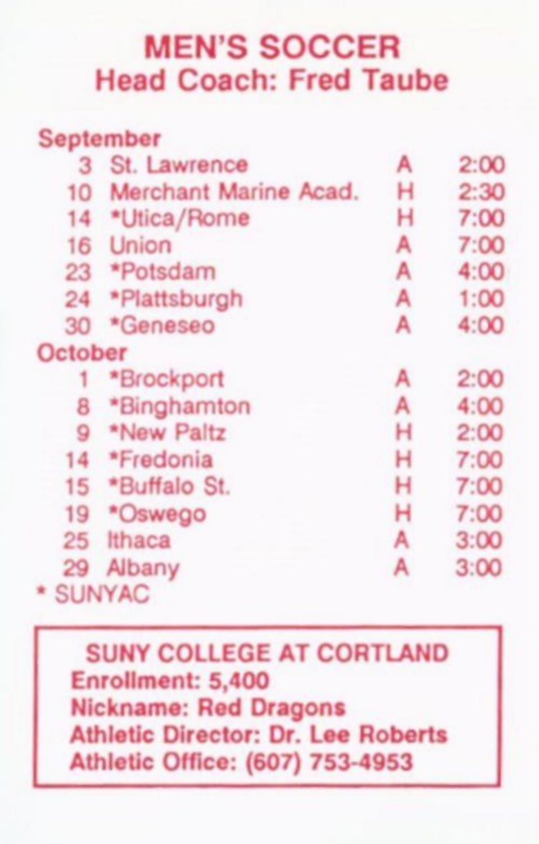#### **MEN'S SOCCER Head Coach: Fred Taube**

|         | September             |   |      |
|---------|-----------------------|---|------|
|         | 3 St. Lawrence        | А | 2:00 |
| 10      | Merchant Marine Acad. | н | 2:30 |
|         | 14 *Utica/Rome        | н | 7:00 |
| 16      | Union                 | А | 7:00 |
|         | 23 *Potsdam           | А | 4:00 |
|         | 24 *Plattsburgh       | А | 1:00 |
| 30      | *Geneseo              | А | 4:00 |
| October |                       |   |      |
| 1       | *Brockport            | А | 2:00 |
| 8       | *Binghamton           | А | 4:00 |
|         | 9 *New Paltz          | н | 2:00 |
|         | 14 *Fredonia          | н | 7:00 |
| 15      | *Buffalo St.          | н | 7:00 |
| 19      | *Oswego               | н | 7:00 |
| 25      | Ithaca                | A | 3:00 |
| 29      | Albany                | А | 3:00 |
|         | <b>SUNYAC</b>         |   |      |

SUNY COLLEGE AT CORTLAND Enrollment: 5,400 Nickname: Red Dragons Athletic Director: Dr. Lee Roberts Athletic Office: (607) 753-4953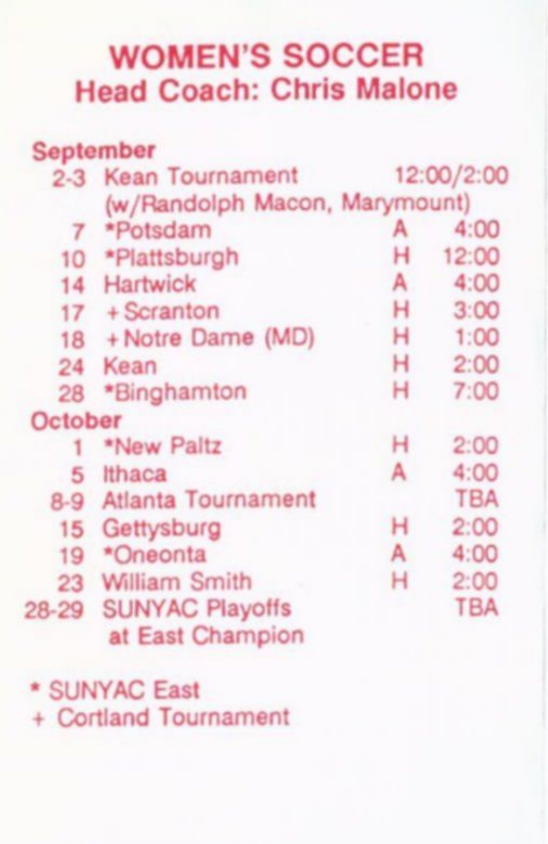#### WOMEN'S SOCCER Head Coach: Chris Malone

|         | <b>September</b>              |   |            |  |
|---------|-------------------------------|---|------------|--|
|         | 2-3 Kean Tournament           |   | 12:00/2:00 |  |
|         | (w/Randolph Macon, Marymount) |   |            |  |
|         | 7 *Potsdam                    | А | 4:00       |  |
|         | 10 *Plattsburgh               | н | 12:00      |  |
|         | 14 Hartwick                   | А | 4:00       |  |
|         | $17 +$ Scranton               | н | 3:00       |  |
|         | 18 + Notre Dame (MD)          | н | 1:00       |  |
| 24      | Kean                          | н | 2:00       |  |
|         | 28 *Binghamton                | н | 7:00       |  |
| October |                               |   |            |  |
|         | *New Paltz                    | н | 2:00       |  |
| 5       | Ithaca                        | А | 4:00       |  |
| $8-9$   | Atlanta Tournament            |   | <b>TBA</b> |  |
| 15      | Gettysburg                    | н | 2:00       |  |
| 19      | *Oneonta                      | А | 4:00       |  |
|         | 23 William Smith              | н | 2:00       |  |
| 28-29   | <b>SUNYAC Playoffs</b>        |   | <b>TBA</b> |  |
|         | at East Champion              |   |            |  |

#### \* SUNYAC East

+ Cortland Tournament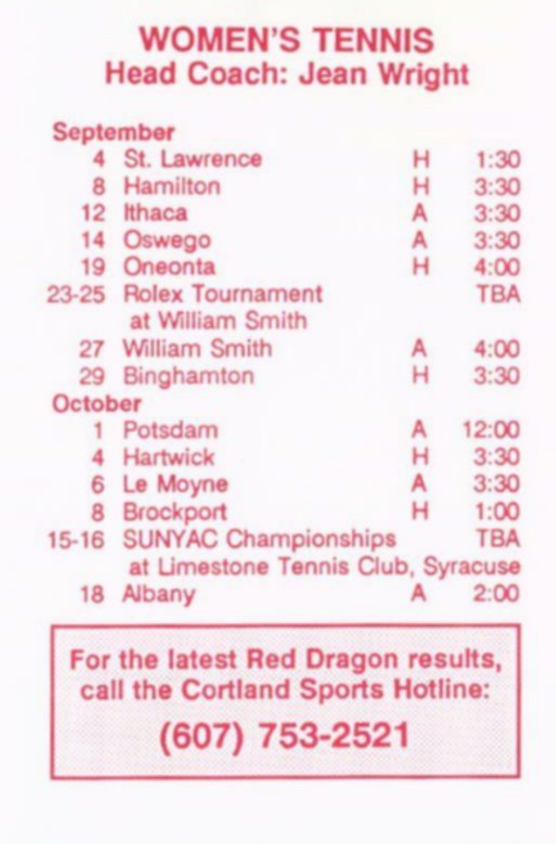#### WOMEN'S TENNIS Head Coach: Jean Wright

|                 | <b>September</b>                           |   |            |
|-----------------|--------------------------------------------|---|------------|
|                 | St. Lawrence                               | н | 1:30       |
|                 | Hamilton                                   | н | 3:30       |
| 12 <sup>2</sup> | Ithaca                                     | А | 3:30       |
| 14              | Oswego                                     | A | 3:30       |
| 19              | Oneonta                                    | н | 4:00       |
|                 | 23-25 Rolex Tournament<br>at William Smith |   | <b>TBA</b> |
| 27              | William Smith                              | А | 4:00       |
| 29              | Binghamton                                 | н | 3:30       |
| October         |                                            |   |            |
|                 | Potsdam                                    | А | 12:00      |
|                 | <b>Hartwick</b>                            | н | 3:30       |
| 6               | Le Moyne                                   | А | 3:30       |
| 8               | <b>Brockport</b>                           | н | 1:00       |
| $15 - 16$       | <b>SUNYAC Championships</b>                |   | <b>TBA</b> |
|                 | at Limestone Tennis Club, Syracuse         |   |            |
| 18              | Albany                                     |   | 2:00       |

### For the latest Red Dragon results, call the Cortland Sports Hotline: **(607) 753-2521**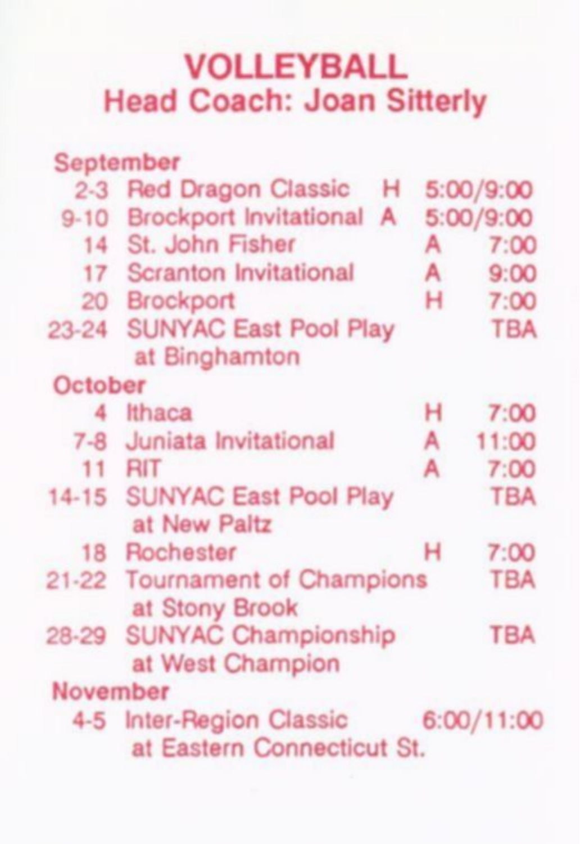### VOLLEYBALL Head Coach: Joan Sitterly

|           | September                           |   |            |
|-----------|-------------------------------------|---|------------|
|           | 2-3 Red Dragon Classic<br>н.        |   | 5:00/9:00  |
| $9 - 10$  | Brockport Invitational A            |   | 5:00/9:00  |
|           | 14 St. John Fisher                  | А | 7:00       |
|           | 17 Scranton Invitational            | A | 9:00       |
|           | 20 Brockport                        | н | 7:00       |
|           | 23-24 SUNYAC East Pool Play         |   | <b>TBA</b> |
|           | at Binghamton                       |   |            |
| October   |                                     |   |            |
| 4         | Ithaca                              | н | 7:00       |
| $7 - 8$   | Juniata Invitational                | А | 11:00      |
| 11        | <b>RIT</b>                          | А | 7:00       |
|           | 14-15 SUNYAC East Pool Play         |   | <b>TBA</b> |
|           | at New Paltz                        |   |            |
|           | 18 Rochester                        | н | 7:00       |
|           | 21-22 Tournament of Champions       |   | <b>TBA</b> |
|           | at Stony Brook                      |   |            |
| $28 - 29$ | <b>SUNYAC Championship</b>          |   | <b>TBA</b> |
|           | at West Champion                    |   |            |
| November  |                                     |   |            |
|           | 4-5 Inter-Region Classic 6:00/11:00 |   |            |
|           | at Eastern Connecticut St.          |   |            |